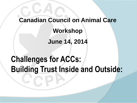## **Canadian Council on Animal Care**

#### **Workshop**

**June 14, 2014**

## **Challenges for ACCs: Building Trust Inside and Outside:**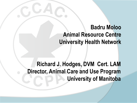#### **Badru Moloo Animal Resource Centre University Health Network**

#### **Richard J. Hodges, DVM Cert. LAM Director, Animal Care and Use Program University of Manitoba**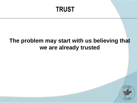### **TRUST**

#### **The problem may start with us believing that we are already trusted**

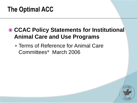### **The Optimal ACC**

#### **CCAC Policy Statements for Institutional Animal Care and Use Programs**

 Terms of Reference for Animal Care Committees\* March 2006

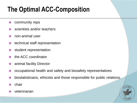- community reps
- **●** scientists and/or teachers
- non-animal user
- technical staff representation
- student representation
- the ACC coordinator
- animal facility Director
- occupational health and safety and biosafety representatives
- biostatisticians, ethicists and those responsible for public relations.
- $\bullet$  chair
- veterinarian

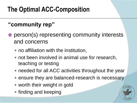#### **"community rep"**

- person(s) representing community interests and concerns
	- no affiliation with the institution,
	- not been involved in animal use for research, teaching or testing
	- needed for all ACC activities throughout the year
	- ensure they are balanced-research is necessary
	- worth their weight in gold
	- finding and keeping

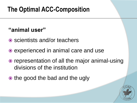#### **"animal user"**

- **◎** scientists and/or teachers
- experienced in animal care and use
- representation of all the major animal-using divisions of the institution
- the good the bad and the ugly

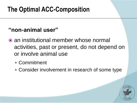#### **"non-animal user"**

- an institutional member whose normal activities, past or present, do not depend on or involve animal use
	- Commitment
	- Consider involvement in research of some type

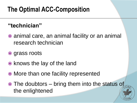#### **"technician"**

- animal care, an animal facility or an animal research technician
- grass roots
- knows the lay of the land
- More than one facility represented
- $\odot$  The doubtors bring them into the status of the enlightened

 $\overline{\Theta}$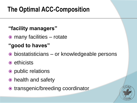#### **"facility managers"**

many facilities – rotate

#### **"good to haves"**

- biostatisticians or knowledgeable persons
- ethicists
- public relations
- health and safety
- transgenic/breeding coordinator

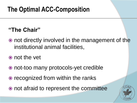#### **"The Chair"**

- not directly involved in the management of the institutional animal facilities,
- not the vet
- not-too many protocols-yet credible
- recognized from within the ranks
- not afraid to represent the committee

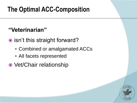#### **"Veterinarian"**

- **■** isn't this straight forward?
	- Combined or amalgamated ACCs
	- All facets represented
- Vet/Chair relationship

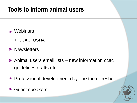### **Tools to inform animal users**

- Webinars
	- CCAC, OSHA
- Newsletters
- Animal users email lists new information ccac guidelines drafts etc
- $\odot$  Professional development day ie the refresher
- **Guest speakers**

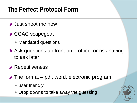### **The Perfect Protocol Form**

- Just shoot me now
- CCAC scapegoat
	- Mandated questions
- Ask questions up front on protocol or risk having to ask later
- **◎ Repetitiveness**
- The format pdf, word, electronic program
	- user friendly
	- Drop downs to take away the guessing

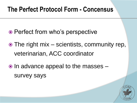#### **The Perfect Protocol Form - Concensus**

- **■** Perfect from who's perspective
- The right mix scientists, community rep, veterinarian, ACC coordinator
- $\bullet$  In advance appeal to the masses  $$ survey says

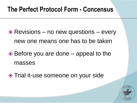#### **The Perfect Protocol Form - Concensus**

- Revisions no new questions every new one means one has to be taken
- $\odot$  Before you are done appeal to the masses
- Trial it-use someone on your side

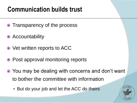### **Communication builds trust**

- Transparency of the process
- Accountability
- Vet written reports to ACC
- Post approval monitoring reports
- You may be dealing with concerns and don't want to bother the committee with information
	- But do your job and let the ACC do theirs

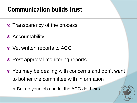### **Communication builds trust**

- Transparency of the process
- Accountability
- Vet written reports to ACC
- Post approval monitoring reports
- You may be dealing with concerns and don't want to bother the committee with information
	- But do your job and let the ACC do theirs

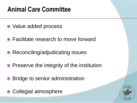### **Animal Care Committee**

- Value added process
- Facilitate research to move forward
- Reconciling/adjudicating issues
- Preserve the integrity of the institution
- Bridge to senior administration
- Collegial atmosphere